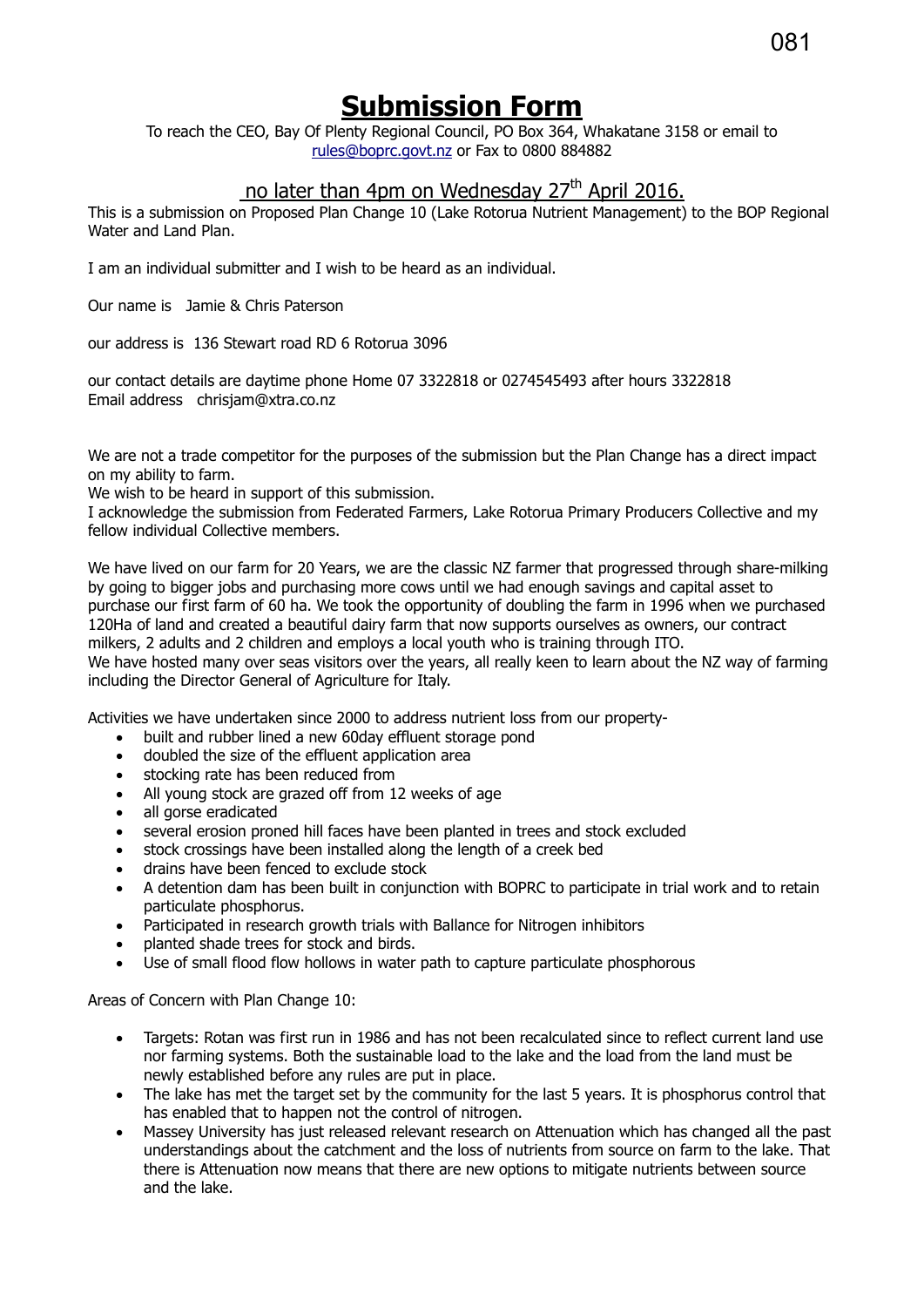# **Submission Form**

To reach the CEO, Bay Of Plenty Regional Council, PO Box 364, Whakatane 3158 or email to [rules@boprc.govt.nz](mailto:rules@boprc.govt.nz) or Fax to 0800 884882

# no later than 4pm on Wednesday  $27<sup>th</sup>$  April 2016.

This is a submission on Proposed Plan Change 10 (Lake Rotorua Nutrient Management) to the BOP Regional Water and Land Plan.

I am an individual submitter and I wish to be heard as an individual.

Our name is Jamie & Chris Paterson

our address is 136 Stewart road RD 6 Rotorua 3096

our contact details are daytime phone Home 07 3322818 or 0274545493 after hours 3322818 Email address chrisjam@xtra.co.nz

We are not a trade competitor for the purposes of the submission but the Plan Change has a direct impact on my ability to farm.

We wish to be heard in support of this submission.

I acknowledge the submission from Federated Farmers, Lake Rotorua Primary Producers Collective and my fellow individual Collective members.

We have lived on our farm for 20 Years, we are the classic NZ farmer that progressed through share-milking by going to bigger jobs and purchasing more cows until we had enough savings and capital asset to purchase our first farm of 60 ha. We took the opportunity of doubling the farm in 1996 when we purchased 120Ha of land and created a beautiful dairy farm that now supports ourselves as owners, our contract milkers, 2 adults and 2 children and employs a local youth who is training through ITO. We have hosted many over seas visitors over the years, all really keen to learn about the NZ way of farming

including the Director General of Agriculture for Italy.

Activities we have undertaken since 2000 to address nutrient loss from our property-

- built and rubber lined a new 60day effluent storage pond
- doubled the size of the effluent application area
- stocking rate has been reduced from
- All young stock are grazed off from 12 weeks of age
- all gorse eradicated
- several erosion proned hill faces have been planted in trees and stock excluded
- stock crossings have been installed along the length of a creek bed
- drains have been fenced to exclude stock
- A detention dam has been built in conjunction with BOPRC to participate in trial work and to retain particulate phosphorus.
- Participated in research growth trials with Ballance for Nitrogen inhibitors
- planted shade trees for stock and birds.
- Use of small flood flow hollows in water path to capture particulate phosphorous

Areas of Concern with Plan Change 10:

- Targets: Rotan was first run in 1986 and has not been recalculated since to reflect current land use nor farming systems. Both the sustainable load to the lake and the load from the land must be newly established before any rules are put in place.
- The lake has met the target set by the community for the last 5 years. It is phosphorus control that has enabled that to happen not the control of nitrogen.
- Massey University has just released relevant research on Attenuation which has changed all the past understandings about the catchment and the loss of nutrients from source on farm to the lake. That there is Attenuation now means that there are new options to mitigate nutrients between source and the lake.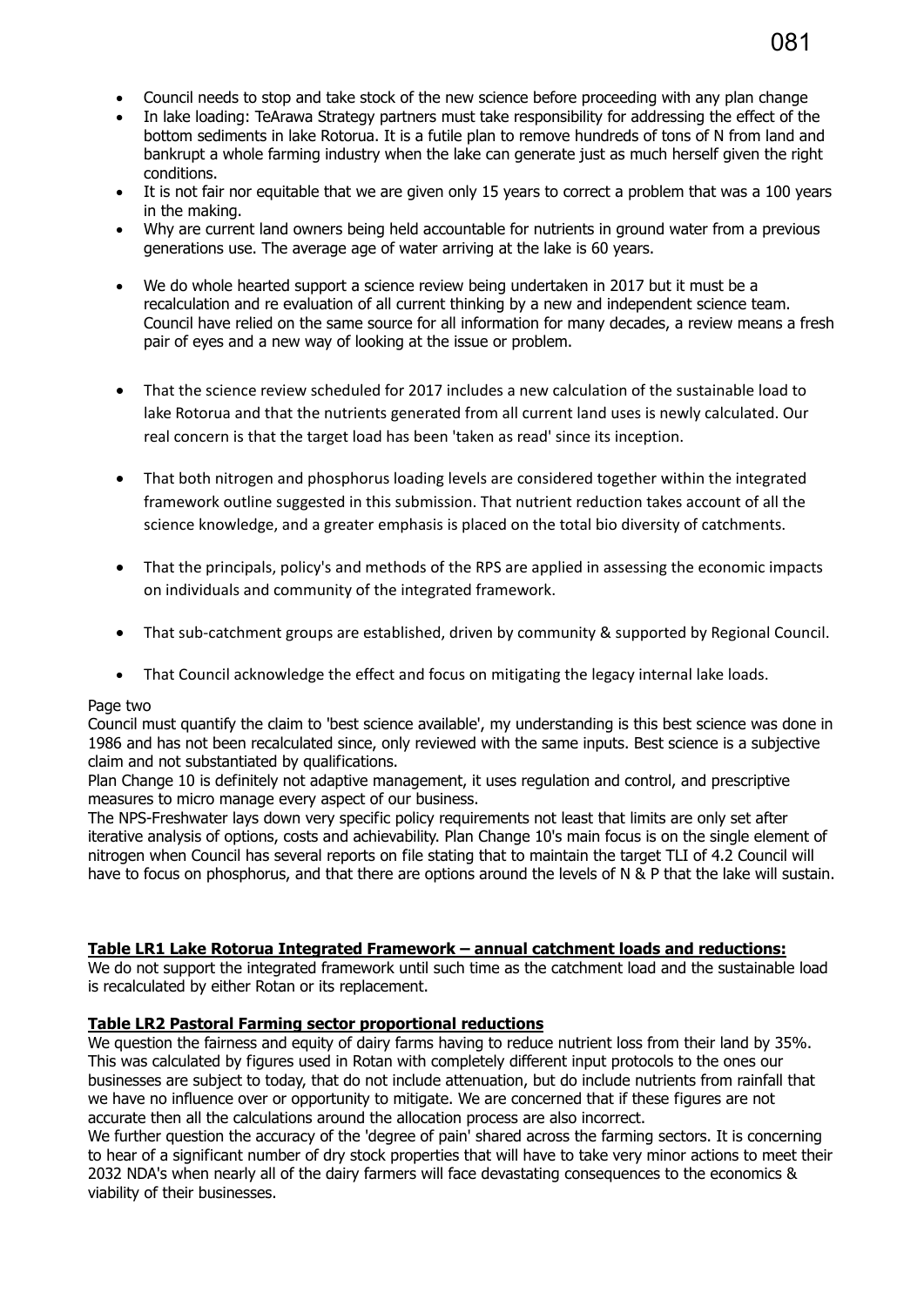- Council needs to stop and take stock of the new science before proceeding with any plan change
- In lake loading: TeArawa Strategy partners must take responsibility for addressing the effect of the bottom sediments in lake Rotorua. It is a futile plan to remove hundreds of tons of N from land and bankrupt a whole farming industry when the lake can generate just as much herself given the right conditions.
- It is not fair nor equitable that we are given only 15 years to correct a problem that was a 100 years in the making.
- Why are current land owners being held accountable for nutrients in ground water from a previous generations use. The average age of water arriving at the lake is 60 years.
- We do whole hearted support a science review being undertaken in 2017 but it must be a recalculation and re evaluation of all current thinking by a new and independent science team. Council have relied on the same source for all information for many decades, a review means a fresh pair of eyes and a new way of looking at the issue or problem.
- That the science review scheduled for 2017 includes a new calculation of the sustainable load to lake Rotorua and that the nutrients generated from all current land uses is newly calculated. Our real concern is that the target load has been 'taken as read' since its inception.
- That both nitrogen and phosphorus loading levels are considered together within the integrated framework outline suggested in this submission. That nutrient reduction takes account of all the science knowledge, and a greater emphasis is placed on the total bio diversity of catchments.
- That the principals, policy's and methods of the RPS are applied in assessing the economic impacts on individuals and community of the integrated framework.
- That sub-catchment groups are established, driven by community & supported by Regional Council.
- That Council acknowledge the effect and focus on mitigating the legacy internal lake loads.

#### Page two

Council must quantify the claim to 'best science available', my understanding is this best science was done in 1986 and has not been recalculated since, only reviewed with the same inputs. Best science is a subjective claim and not substantiated by qualifications.

Plan Change 10 is definitely not adaptive management, it uses regulation and control, and prescriptive measures to micro manage every aspect of our business.

The NPS-Freshwater lays down very specific policy requirements not least that limits are only set after iterative analysis of options, costs and achievability. Plan Change 10's main focus is on the single element of nitrogen when Council has several reports on file stating that to maintain the target TLI of 4.2 Council will have to focus on phosphorus, and that there are options around the levels of N & P that the lake will sustain.

# **Table LR1 Lake Rotorua Integrated Framework – annual catchment loads and reductions:**

We do not support the integrated framework until such time as the catchment load and the sustainable load is recalculated by either Rotan or its replacement.

#### **Table LR2 Pastoral Farming sector proportional reductions**

We question the fairness and equity of dairy farms having to reduce nutrient loss from their land by 35%. This was calculated by figures used in Rotan with completely different input protocols to the ones our businesses are subject to today, that do not include attenuation, but do include nutrients from rainfall that we have no influence over or opportunity to mitigate. We are concerned that if these figures are not accurate then all the calculations around the allocation process are also incorrect.

We further question the accuracy of the 'degree of pain' shared across the farming sectors. It is concerning to hear of a significant number of dry stock properties that will have to take very minor actions to meet their 2032 NDA's when nearly all of the dairy farmers will face devastating consequences to the economics & viability of their businesses.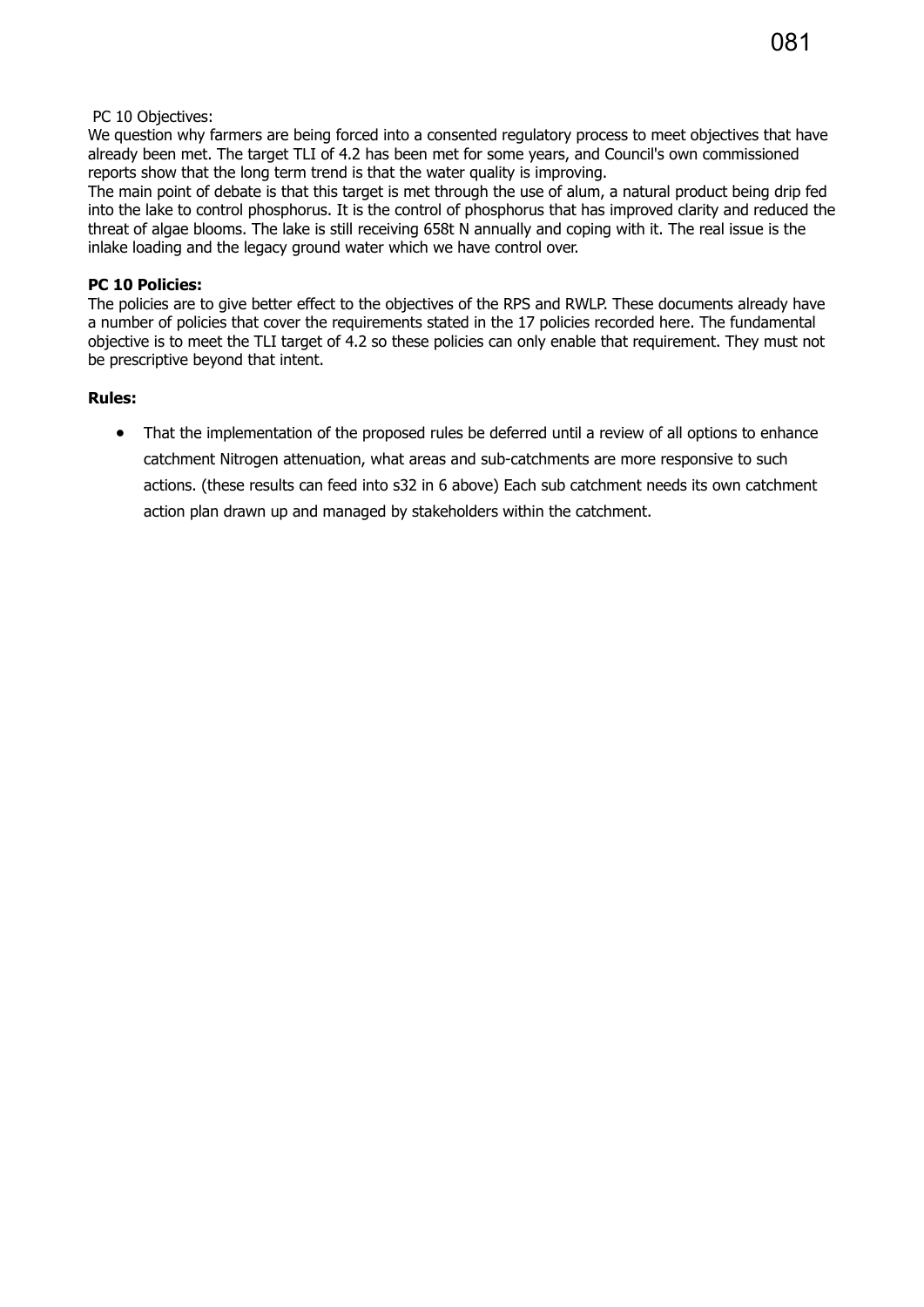#### PC 10 Objectives:

We question why farmers are being forced into a consented regulatory process to meet objectives that have already been met. The target TLI of 4.2 has been met for some years, and Council's own commissioned reports show that the long term trend is that the water quality is improving.

The main point of debate is that this target is met through the use of alum, a natural product being drip fed into the lake to control phosphorus. It is the control of phosphorus that has improved clarity and reduced the threat of algae blooms. The lake is still receiving 658t N annually and coping with it. The real issue is the inlake loading and the legacy ground water which we have control over.

### **PC 10 Policies:**

The policies are to give better effect to the objectives of the RPS and RWLP. These documents already have a number of policies that cover the requirements stated in the 17 policies recorded here. The fundamental objective is to meet the TLI target of 4.2 so these policies can only enable that requirement. They must not be prescriptive beyond that intent.

## **Rules:**

• That the implementation of the proposed rules be deferred until a review of all options to enhance catchment Nitrogen attenuation, what areas and sub-catchments are more responsive to such actions. (these results can feed into s32 in 6 above) Each sub catchment needs its own catchment action plan drawn up and managed by stakeholders within the catchment.